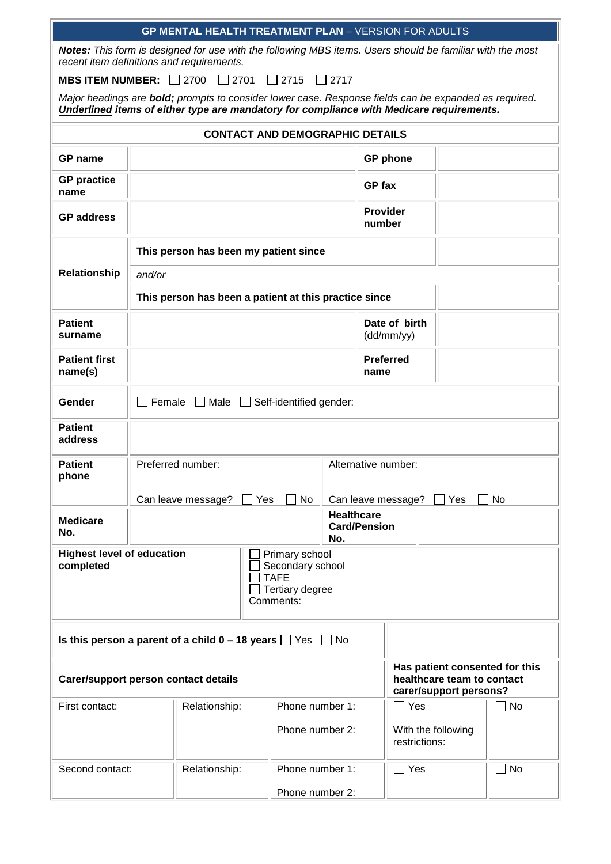| GP MENTAL HEALTH TREATMENT PLAN - VERSION FOR ADULTS                                                                                  |                                                                                                                                                        |                                                                                                                                                                                                          |                 |             |               |                                     |  |           |
|---------------------------------------------------------------------------------------------------------------------------------------|--------------------------------------------------------------------------------------------------------------------------------------------------------|----------------------------------------------------------------------------------------------------------------------------------------------------------------------------------------------------------|-----------------|-------------|---------------|-------------------------------------|--|-----------|
|                                                                                                                                       | Notes: This form is designed for use with the following MBS items. Users should be familiar with the most<br>recent item definitions and requirements. |                                                                                                                                                                                                          |                 |             |               |                                     |  |           |
| MBS ITEM NUMBER: $\Box$ 2700                                                                                                          |                                                                                                                                                        | $\Box$ 2701                                                                                                                                                                                              | $\Box$ 2715     | $\Box$ 2717 |               |                                     |  |           |
|                                                                                                                                       |                                                                                                                                                        | Major headings are <b>bold;</b> prompts to consider lower case. Response fields can be expanded as required.<br>Underlined items of either type are mandatory for compliance with Medicare requirements. |                 |             |               |                                     |  |           |
|                                                                                                                                       |                                                                                                                                                        | <b>CONTACT AND DEMOGRAPHIC DETAILS</b>                                                                                                                                                                   |                 |             |               |                                     |  |           |
| GP name                                                                                                                               |                                                                                                                                                        |                                                                                                                                                                                                          |                 |             |               | <b>GP</b> phone                     |  |           |
| <b>GP</b> practice<br>name                                                                                                            |                                                                                                                                                        |                                                                                                                                                                                                          |                 |             | <b>GP</b> fax |                                     |  |           |
| <b>GP</b> address                                                                                                                     | <b>Provider</b><br>number                                                                                                                              |                                                                                                                                                                                                          |                 |             |               |                                     |  |           |
|                                                                                                                                       |                                                                                                                                                        | This person has been my patient since                                                                                                                                                                    |                 |             |               |                                     |  |           |
| Relationship                                                                                                                          | and/or                                                                                                                                                 |                                                                                                                                                                                                          |                 |             |               |                                     |  |           |
|                                                                                                                                       |                                                                                                                                                        | This person has been a patient at this practice since                                                                                                                                                    |                 |             |               |                                     |  |           |
| <b>Patient</b><br>surname                                                                                                             | Date of birth<br>(dd/mm/yy)                                                                                                                            |                                                                                                                                                                                                          |                 |             |               |                                     |  |           |
| <b>Patient first</b><br>name(s)                                                                                                       | <b>Preferred</b><br>name                                                                                                                               |                                                                                                                                                                                                          |                 |             |               |                                     |  |           |
| Gender                                                                                                                                | $\Box$ Female $\Box$ Male $\Box$ Self-identified gender:                                                                                               |                                                                                                                                                                                                          |                 |             |               |                                     |  |           |
| <b>Patient</b><br>address                                                                                                             |                                                                                                                                                        |                                                                                                                                                                                                          |                 |             |               |                                     |  |           |
| <b>Patient</b><br>phone                                                                                                               | Preferred number:<br>Alternative number:                                                                                                               |                                                                                                                                                                                                          |                 |             |               |                                     |  |           |
|                                                                                                                                       | No<br>Can leave message?<br>Yes<br>Can leave message?                                                                                                  |                                                                                                                                                                                                          |                 | Yes         | No.           |                                     |  |           |
| <b>Medicare</b><br>No.                                                                                                                | <b>Healthcare</b><br><b>Card/Pension</b><br>No.                                                                                                        |                                                                                                                                                                                                          |                 |             |               |                                     |  |           |
| <b>Highest level of education</b><br>Primary school<br>Secondary school<br>completed<br><b>TAFE</b><br>Tertiary degree<br>Comments:   |                                                                                                                                                        |                                                                                                                                                                                                          |                 |             |               |                                     |  |           |
| Is this person a parent of a child $0 - 18$ years $\Box$ Yes $\Box$ No                                                                |                                                                                                                                                        |                                                                                                                                                                                                          |                 |             |               |                                     |  |           |
| Has patient consented for this<br>healthcare team to contact<br><b>Carer/support person contact details</b><br>carer/support persons? |                                                                                                                                                        |                                                                                                                                                                                                          |                 |             |               |                                     |  |           |
| First contact:                                                                                                                        |                                                                                                                                                        | Relationship:                                                                                                                                                                                            | Phone number 1: |             |               | $\Box$ Yes                          |  | $\Box$ No |
|                                                                                                                                       | Phone number 2:                                                                                                                                        |                                                                                                                                                                                                          |                 |             |               | With the following<br>restrictions: |  |           |
| Second contact:                                                                                                                       |                                                                                                                                                        | Relationship:                                                                                                                                                                                            | Phone number 1: |             |               | □ Yes                               |  | No        |
|                                                                                                                                       |                                                                                                                                                        |                                                                                                                                                                                                          | Phone number 2: |             |               |                                     |  |           |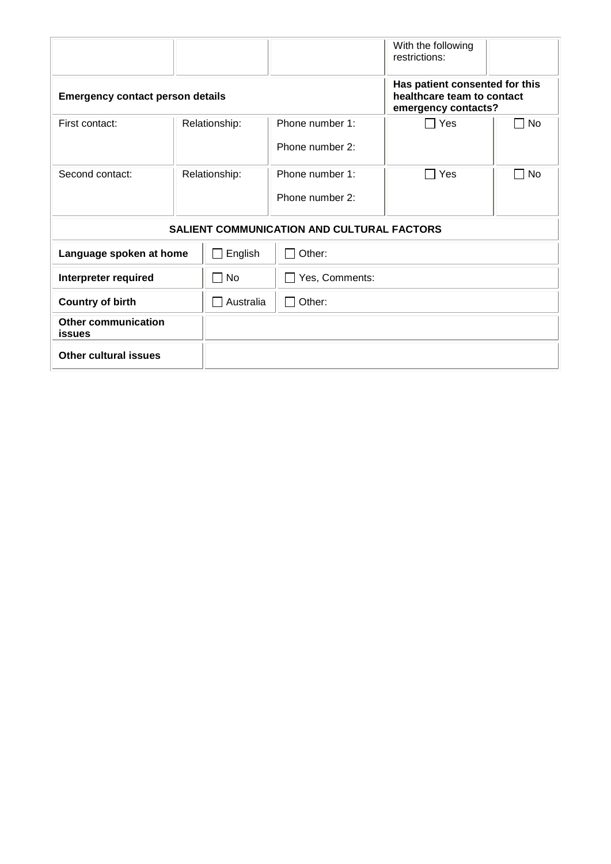|                                         |  |                     |                                                   | With the following<br>restrictions:                                                 |    |
|-----------------------------------------|--|---------------------|---------------------------------------------------|-------------------------------------------------------------------------------------|----|
| <b>Emergency contact person details</b> |  |                     |                                                   | Has patient consented for this<br>healthcare team to contact<br>emergency contacts? |    |
| First contact:                          |  | Relationship:       | Phone number 1:                                   | Yes                                                                                 | No |
|                                         |  |                     | Phone number 2:                                   |                                                                                     |    |
| Second contact:                         |  | Relationship:       | Phone number 1:                                   | Yes                                                                                 | No |
|                                         |  |                     | Phone number 2:                                   |                                                                                     |    |
|                                         |  |                     | <b>SALIENT COMMUNICATION AND CULTURAL FACTORS</b> |                                                                                     |    |
| Language spoken at home                 |  | English             | $\Box$ Other:                                     |                                                                                     |    |
| Interpreter required                    |  | <b>No</b><br>$\sim$ | Yes, Comments:                                    |                                                                                     |    |
| <b>Country of birth</b>                 |  | Australia<br>$\sim$ | $\Box$ Other:                                     |                                                                                     |    |
| <b>Other communication</b><br>issues    |  |                     |                                                   |                                                                                     |    |
| <b>Other cultural issues</b>            |  |                     |                                                   |                                                                                     |    |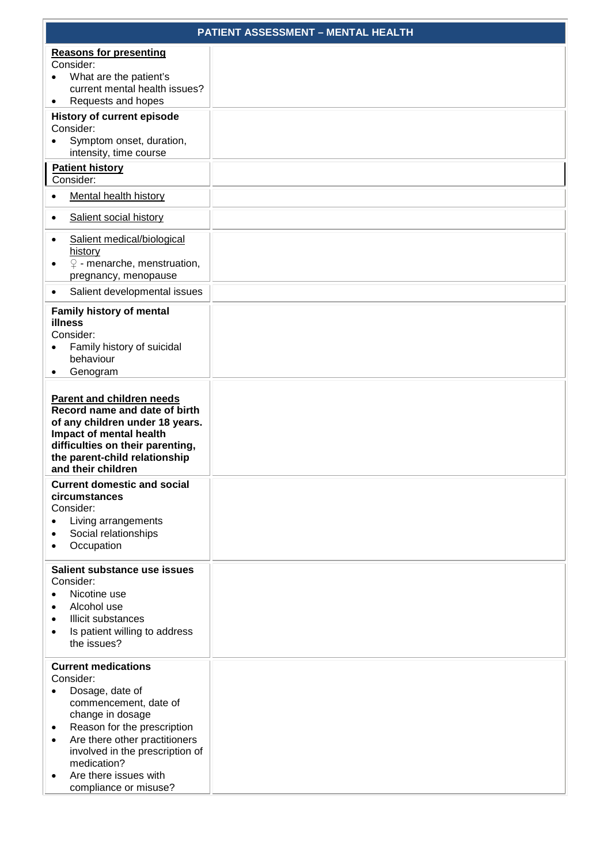|                                                                                                                                                                                                                                                                                               | <b>PATIENT ASSESSMENT - MENTAL HEALTH</b> |
|-----------------------------------------------------------------------------------------------------------------------------------------------------------------------------------------------------------------------------------------------------------------------------------------------|-------------------------------------------|
| <b>Reasons for presenting</b><br>Consider:<br>What are the patient's<br>current mental health issues?<br>Requests and hopes                                                                                                                                                                   |                                           |
| <b>History of current episode</b><br>Consider:<br>Symptom onset, duration,<br>intensity, time course                                                                                                                                                                                          |                                           |
| <b>Patient history</b><br>Consider:                                                                                                                                                                                                                                                           |                                           |
| <b>Mental health history</b>                                                                                                                                                                                                                                                                  |                                           |
| Salient social history<br>٠                                                                                                                                                                                                                                                                   |                                           |
| Salient medical/biological<br>history<br>$\mathcal{Q}$ - menarche, menstruation,<br>pregnancy, menopause                                                                                                                                                                                      |                                           |
| Salient developmental issues<br>$\bullet$                                                                                                                                                                                                                                                     |                                           |
| <b>Family history of mental</b><br>illness<br>Consider:<br>Family history of suicidal<br>behaviour<br>Genogram                                                                                                                                                                                |                                           |
| Parent and children needs<br>Record name and date of birth<br>of any children under 18 years.<br>Impact of mental health<br>difficulties on their parenting,<br>the parent-child relationship<br>and their children                                                                           |                                           |
| <b>Current domestic and social</b><br>circumstances<br>Consider:<br>Living arrangements<br>Social relationships<br>Occupation                                                                                                                                                                 |                                           |
| Salient substance use issues<br>Consider:<br>Nicotine use<br>Alcohol use<br>Illicit substances<br>Is patient willing to address<br>$\bullet$<br>the issues?                                                                                                                                   |                                           |
| <b>Current medications</b><br>Consider:<br>Dosage, date of<br>commencement, date of<br>change in dosage<br>Reason for the prescription<br>٠<br>Are there other practitioners<br>$\bullet$<br>involved in the prescription of<br>medication?<br>Are there issues with<br>compliance or misuse? |                                           |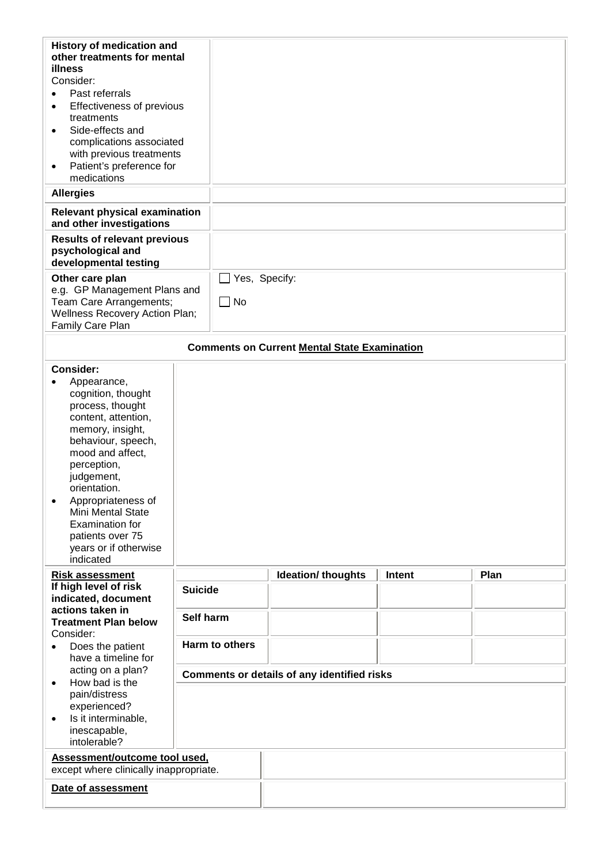| History of medication and<br>other treatments for mental<br>illness<br>Consider:<br>Past referrals<br>Effectiveness of previous<br>$\bullet$<br>treatments<br>Side-effects and<br>$\bullet$<br>complications associated<br>with previous treatments<br>Patient's preference for<br>$\bullet$<br>medications                  |                |           |                                                     |        |      |
|------------------------------------------------------------------------------------------------------------------------------------------------------------------------------------------------------------------------------------------------------------------------------------------------------------------------------|----------------|-----------|-----------------------------------------------------|--------|------|
| <b>Allergies</b><br><b>Relevant physical examination</b>                                                                                                                                                                                                                                                                     |                |           |                                                     |        |      |
| and other investigations                                                                                                                                                                                                                                                                                                     |                |           |                                                     |        |      |
| <b>Results of relevant previous</b><br>psychological and<br>developmental testing                                                                                                                                                                                                                                            |                |           |                                                     |        |      |
| Other care plan<br>e.g. GP Management Plans and<br>Team Care Arrangements;<br>Wellness Recovery Action Plan;<br>Family Care Plan                                                                                                                                                                                             |                | $\Box$ No | $\Box$ Yes, Specify:                                |        |      |
|                                                                                                                                                                                                                                                                                                                              |                |           | <b>Comments on Current Mental State Examination</b> |        |      |
| Consider:<br>Appearance,<br>cognition, thought<br>process, thought<br>content, attention,<br>memory, insight,<br>behaviour, speech,<br>mood and affect,<br>perception,<br>judgement,<br>orientation.<br>Appropriateness of<br>Mini Mental State<br>Examination for<br>patients over 75<br>years or if otherwise<br>indicated |                |           |                                                     |        |      |
| <b>Risk assessment</b>                                                                                                                                                                                                                                                                                                       |                |           | Ideation/ thoughts                                  | Intent | Plan |
| If high level of risk<br>indicated, document                                                                                                                                                                                                                                                                                 | <b>Suicide</b> |           |                                                     |        |      |
| actions taken in<br><b>Treatment Plan below</b><br>Consider:                                                                                                                                                                                                                                                                 | Self harm      |           |                                                     |        |      |
| Harm to others<br>Does the patient<br>have a timeline for                                                                                                                                                                                                                                                                    |                |           |                                                     |        |      |
| acting on a plan?<br>How bad is the                                                                                                                                                                                                                                                                                          |                |           | <b>Comments or details of any identified risks</b>  |        |      |
| $\bullet$<br>pain/distress<br>experienced?<br>Is it interminable,<br>$\bullet$<br>inescapable,<br>intolerable?                                                                                                                                                                                                               |                |           |                                                     |        |      |
| Assessment/outcome tool used,<br>except where clinically inappropriate.                                                                                                                                                                                                                                                      |                |           |                                                     |        |      |
| Date of assessment                                                                                                                                                                                                                                                                                                           |                |           |                                                     |        |      |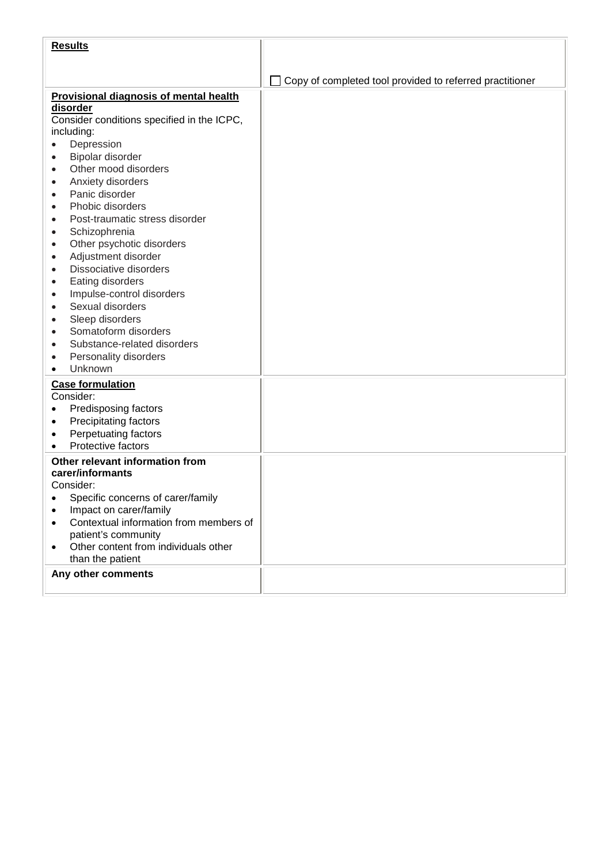| <b>Results</b>                                                    |                                                          |
|-------------------------------------------------------------------|----------------------------------------------------------|
|                                                                   |                                                          |
|                                                                   | Copy of completed tool provided to referred practitioner |
| <b>Provisional diagnosis of mental health</b>                     |                                                          |
| disorder                                                          |                                                          |
| Consider conditions specified in the ICPC,                        |                                                          |
| including:                                                        |                                                          |
| Depression                                                        |                                                          |
| Bipolar disorder                                                  |                                                          |
| Other mood disorders<br>$\bullet$                                 |                                                          |
| Anxiety disorders                                                 |                                                          |
| Panic disorder                                                    |                                                          |
| Phobic disorders                                                  |                                                          |
| Post-traumatic stress disorder                                    |                                                          |
| Schizophrenia<br>$\bullet$                                        |                                                          |
| Other psychotic disorders<br>$\bullet$                            |                                                          |
| Adjustment disorder<br>$\bullet$                                  |                                                          |
| Dissociative disorders<br>$\bullet$                               |                                                          |
| Eating disorders<br>$\bullet$                                     |                                                          |
| Impulse-control disorders<br>$\bullet$<br>Sexual disorders        |                                                          |
| $\bullet$                                                         |                                                          |
| Sleep disorders<br>$\bullet$<br>Somatoform disorders<br>$\bullet$ |                                                          |
| Substance-related disorders                                       |                                                          |
| Personality disorders<br>$\bullet$                                |                                                          |
| Unknown                                                           |                                                          |
| <b>Case formulation</b>                                           |                                                          |
| Consider:                                                         |                                                          |
| Predisposing factors                                              |                                                          |
| Precipitating factors                                             |                                                          |
| Perpetuating factors<br>٠                                         |                                                          |
| Protective factors                                                |                                                          |
| Other relevant information from                                   |                                                          |
| carer/informants                                                  |                                                          |
| Consider:                                                         |                                                          |
| Specific concerns of carer/family                                 |                                                          |
| Impact on carer/family                                            |                                                          |
| Contextual information from members of                            |                                                          |
| patient's community                                               |                                                          |
| Other content from individuals other                              |                                                          |
| than the patient                                                  |                                                          |
| Any other comments                                                |                                                          |
|                                                                   |                                                          |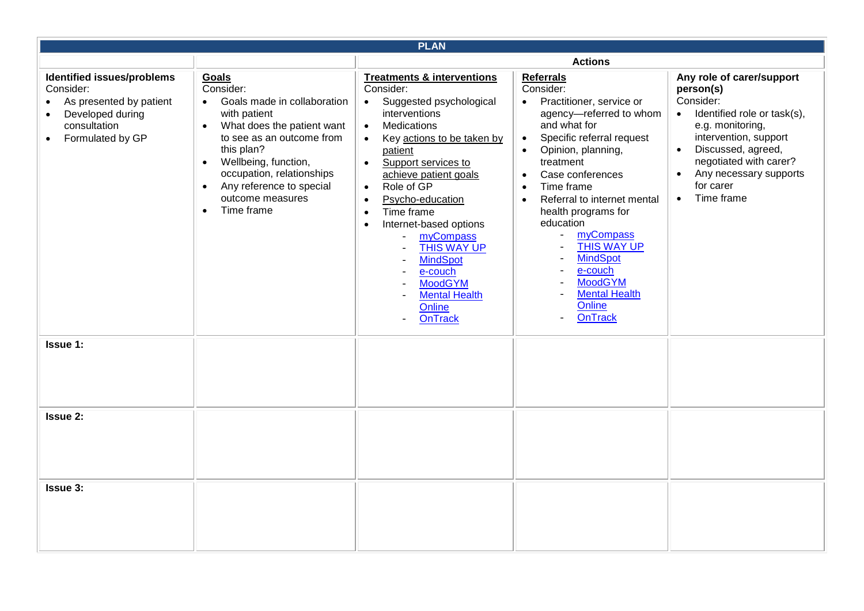| <b>PLAN</b>                                                                                                                                          |                                                                                                                                                                                                                                                                                                                                |                                                                                                                                                                                                                                                                                                                                                                                                                                                                                                                                                                                                                                          |                                                                                                                                                                                                                                                                                                                                                                                                                                                                                                                                                                                                                                  |                                                                                                                                                                                                                                                                                          |
|------------------------------------------------------------------------------------------------------------------------------------------------------|--------------------------------------------------------------------------------------------------------------------------------------------------------------------------------------------------------------------------------------------------------------------------------------------------------------------------------|------------------------------------------------------------------------------------------------------------------------------------------------------------------------------------------------------------------------------------------------------------------------------------------------------------------------------------------------------------------------------------------------------------------------------------------------------------------------------------------------------------------------------------------------------------------------------------------------------------------------------------------|----------------------------------------------------------------------------------------------------------------------------------------------------------------------------------------------------------------------------------------------------------------------------------------------------------------------------------------------------------------------------------------------------------------------------------------------------------------------------------------------------------------------------------------------------------------------------------------------------------------------------------|------------------------------------------------------------------------------------------------------------------------------------------------------------------------------------------------------------------------------------------------------------------------------------------|
|                                                                                                                                                      |                                                                                                                                                                                                                                                                                                                                |                                                                                                                                                                                                                                                                                                                                                                                                                                                                                                                                                                                                                                          | <b>Actions</b>                                                                                                                                                                                                                                                                                                                                                                                                                                                                                                                                                                                                                   |                                                                                                                                                                                                                                                                                          |
| Identified issues/problems<br>Consider:<br>As presented by patient<br>$\bullet$<br>Developed during<br>$\bullet$<br>consultation<br>Formulated by GP | Goals<br>Consider:<br>Goals made in collaboration<br>$\bullet$<br>with patient<br>What does the patient want<br>$\bullet$<br>to see as an outcome from<br>this plan?<br>Wellbeing, function,<br>$\bullet$<br>occupation, relationships<br>Any reference to special<br>$\bullet$<br>outcome measures<br>Time frame<br>$\bullet$ | <b>Treatments &amp; interventions</b><br>Consider:<br>Suggested psychological<br>$\bullet$<br>interventions<br>Medications<br>$\bullet$<br>Key actions to be taken by<br>$\bullet$<br>patient<br>Support services to<br>$\bullet$<br>achieve patient goals<br>Role of GP<br>$\bullet$<br>Psycho-education<br>$\bullet$<br>Time frame<br>$\bullet$<br>Internet-based options<br>$\bullet$<br>myCompass<br>THIS WAY UP<br><b>MindSpot</b><br>e-couch<br>$\overline{\phantom{0}}$<br><b>MoodGYM</b><br>$\overline{\phantom{0}}$<br><b>Mental Health</b><br>$\overline{\phantom{0}}$<br>Online<br><b>OnTrack</b><br>$\overline{\phantom{a}}$ | <b>Referrals</b><br>Consider:<br>Practitioner, service or<br>$\bullet$<br>agency-referred to whom<br>and what for<br>Specific referral request<br>$\bullet$<br>Opinion, planning,<br>$\bullet$<br>treatment<br>Case conferences<br>$\bullet$<br>Time frame<br>$\bullet$<br>Referral to internet mental<br>$\bullet$<br>health programs for<br>education<br>myCompass<br>$\qquad \qquad -$<br>THIS WAY UP<br><b>MindSpot</b><br>$\overline{\phantom{a}}$<br>e-couch<br>$\qquad \qquad -$<br><b>MoodGYM</b><br>$\overline{\phantom{a}}$<br><b>Mental Health</b><br>$\overline{\phantom{m}}$<br>Online<br>OnTrack<br>$\overline{a}$ | Any role of carer/support<br>person(s)<br>Consider:<br>Identified role or task(s),<br>$\bullet$<br>e.g. monitoring,<br>intervention, support<br>Discussed, agreed,<br>$\bullet$<br>negotiated with carer?<br>Any necessary supports<br>$\bullet$<br>for carer<br>Time frame<br>$\bullet$ |
| <b>Issue 1:</b>                                                                                                                                      |                                                                                                                                                                                                                                                                                                                                |                                                                                                                                                                                                                                                                                                                                                                                                                                                                                                                                                                                                                                          |                                                                                                                                                                                                                                                                                                                                                                                                                                                                                                                                                                                                                                  |                                                                                                                                                                                                                                                                                          |
| <b>Issue 2:</b>                                                                                                                                      |                                                                                                                                                                                                                                                                                                                                |                                                                                                                                                                                                                                                                                                                                                                                                                                                                                                                                                                                                                                          |                                                                                                                                                                                                                                                                                                                                                                                                                                                                                                                                                                                                                                  |                                                                                                                                                                                                                                                                                          |
| <b>Issue 3:</b>                                                                                                                                      |                                                                                                                                                                                                                                                                                                                                |                                                                                                                                                                                                                                                                                                                                                                                                                                                                                                                                                                                                                                          |                                                                                                                                                                                                                                                                                                                                                                                                                                                                                                                                                                                                                                  |                                                                                                                                                                                                                                                                                          |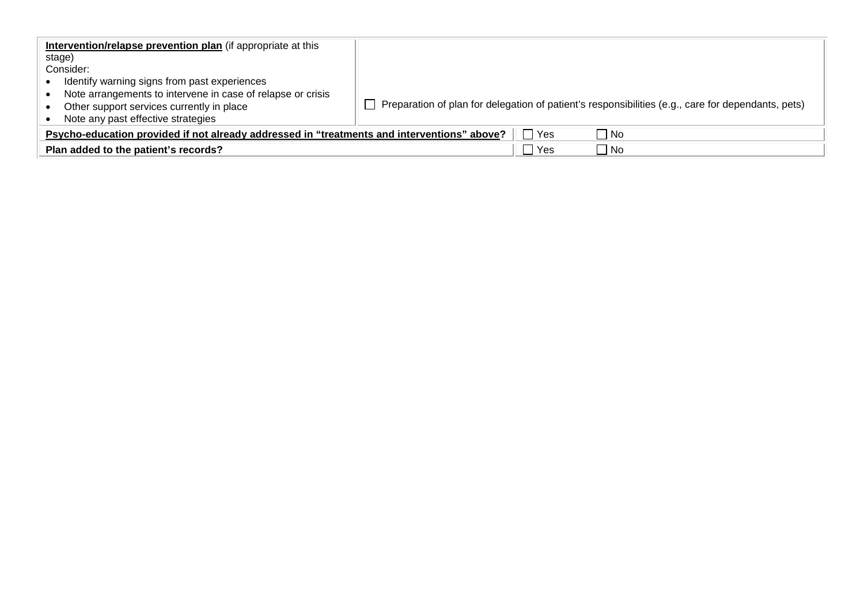| Intervention/relapse prevention plan (if appropriate at this<br>stage)                      |                                                                                                           |
|---------------------------------------------------------------------------------------------|-----------------------------------------------------------------------------------------------------------|
| Consider:                                                                                   |                                                                                                           |
| Identify warning signs from past experiences                                                |                                                                                                           |
| Note arrangements to intervene in case of relapse or crisis                                 |                                                                                                           |
| Other support services currently in place                                                   | $\Box$ Preparation of plan for delegation of patient's responsibilities (e.g., care for dependants, pets) |
| Note any past effective strategies                                                          |                                                                                                           |
| Psycho-education provided if not already addressed in "treatments and interventions" above? | $\Box$ No<br>Yes                                                                                          |
| Plan added to the patient's records?                                                        | Yes<br>  No                                                                                               |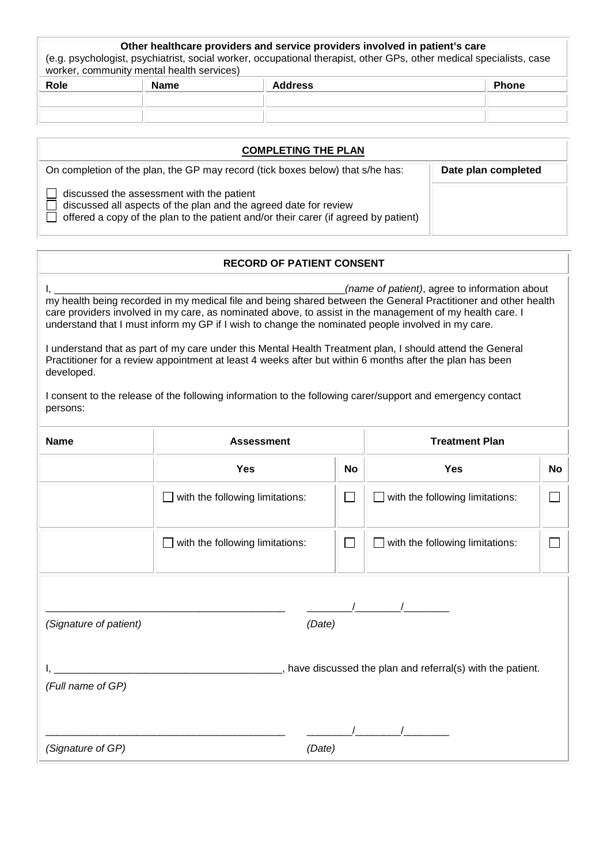## **Other healthcare providers and service providers involved in patient's care**

(e.g. psychologist, psychiatrist, social worker, occupational therapist, other GPs, other medical specialists, case worker, community mental health services)

| Role | <b>Name</b> | <b>Address</b> | Phone |
|------|-------------|----------------|-------|
|      |             |                |       |
|      |             |                |       |
|      |             |                |       |

| <b>COMPLETING THE PLAN</b>                                                                                                                                                                           |                     |
|------------------------------------------------------------------------------------------------------------------------------------------------------------------------------------------------------|---------------------|
| On completion of the plan, the GP may record (tick boxes below) that s/he has:                                                                                                                       | Date plan completed |
| discussed the assessment with the patient<br>discussed all aspects of the plan and the agreed date for review<br>offered a copy of the plan to the patient and/or their carer (if agreed by patient) |                     |

## **RECORD OF PATIENT CONSENT**

| developed.<br>persons:                      | my health being recorded in my medical file and being shared between the General Practitioner and other health<br>care providers involved in my care, as nominated above, to assist in the management of my health care. I<br>understand that I must inform my GP if I wish to change the nominated people involved in my care.<br>I understand that as part of my care under this Mental Health Treatment plan, I should attend the General<br>Practitioner for a review appointment at least 4 weeks after but within 6 months after the plan has been<br>I consent to the release of the following information to the following carer/support and emergency contact |                             | (name of patient), agree to information about               |           |
|---------------------------------------------|------------------------------------------------------------------------------------------------------------------------------------------------------------------------------------------------------------------------------------------------------------------------------------------------------------------------------------------------------------------------------------------------------------------------------------------------------------------------------------------------------------------------------------------------------------------------------------------------------------------------------------------------------------------------|-----------------------------|-------------------------------------------------------------|-----------|
| <b>Name</b>                                 | <b>Assessment</b>                                                                                                                                                                                                                                                                                                                                                                                                                                                                                                                                                                                                                                                      |                             | <b>Treatment Plan</b>                                       |           |
|                                             | <b>Yes</b>                                                                                                                                                                                                                                                                                                                                                                                                                                                                                                                                                                                                                                                             | No                          | <b>Yes</b>                                                  | <b>No</b> |
|                                             | with the following limitations:                                                                                                                                                                                                                                                                                                                                                                                                                                                                                                                                                                                                                                        | $\mathcal{L}_{\mathcal{A}}$ | with the following limitations:                             |           |
|                                             | $\Box$ with the following limitations:                                                                                                                                                                                                                                                                                                                                                                                                                                                                                                                                                                                                                                 | $\mathcal{L}_{\mathcal{A}}$ | with the following limitations:                             |           |
| (Signature of patient)<br>(Full name of GP) | (Date)                                                                                                                                                                                                                                                                                                                                                                                                                                                                                                                                                                                                                                                                 |                             | , have discussed the plan and referral(s) with the patient. |           |
| (Signature of GP)                           | (Date)                                                                                                                                                                                                                                                                                                                                                                                                                                                                                                                                                                                                                                                                 |                             |                                                             |           |